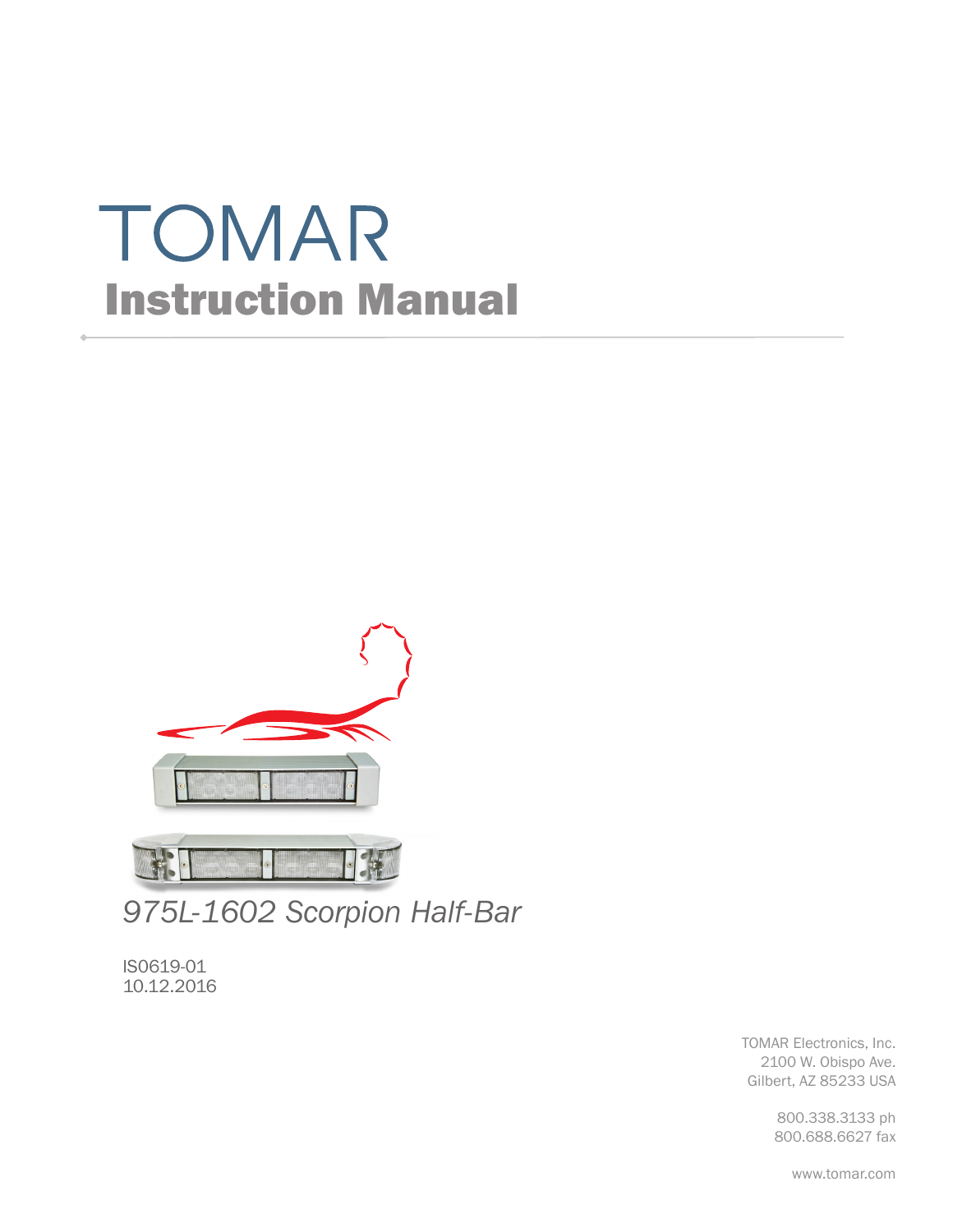# TOMAR Instruction Manual



*975L-1602 Scorpion Half-Bar*

IS0619-01 10.12.2016

> TOMAR Electronics, Inc. 2100 W. Obispo Ave. Gilbert, AZ 85233 USA

> > 800.338.3133 ph 800.688.6627 fax

> > > www.tomar.com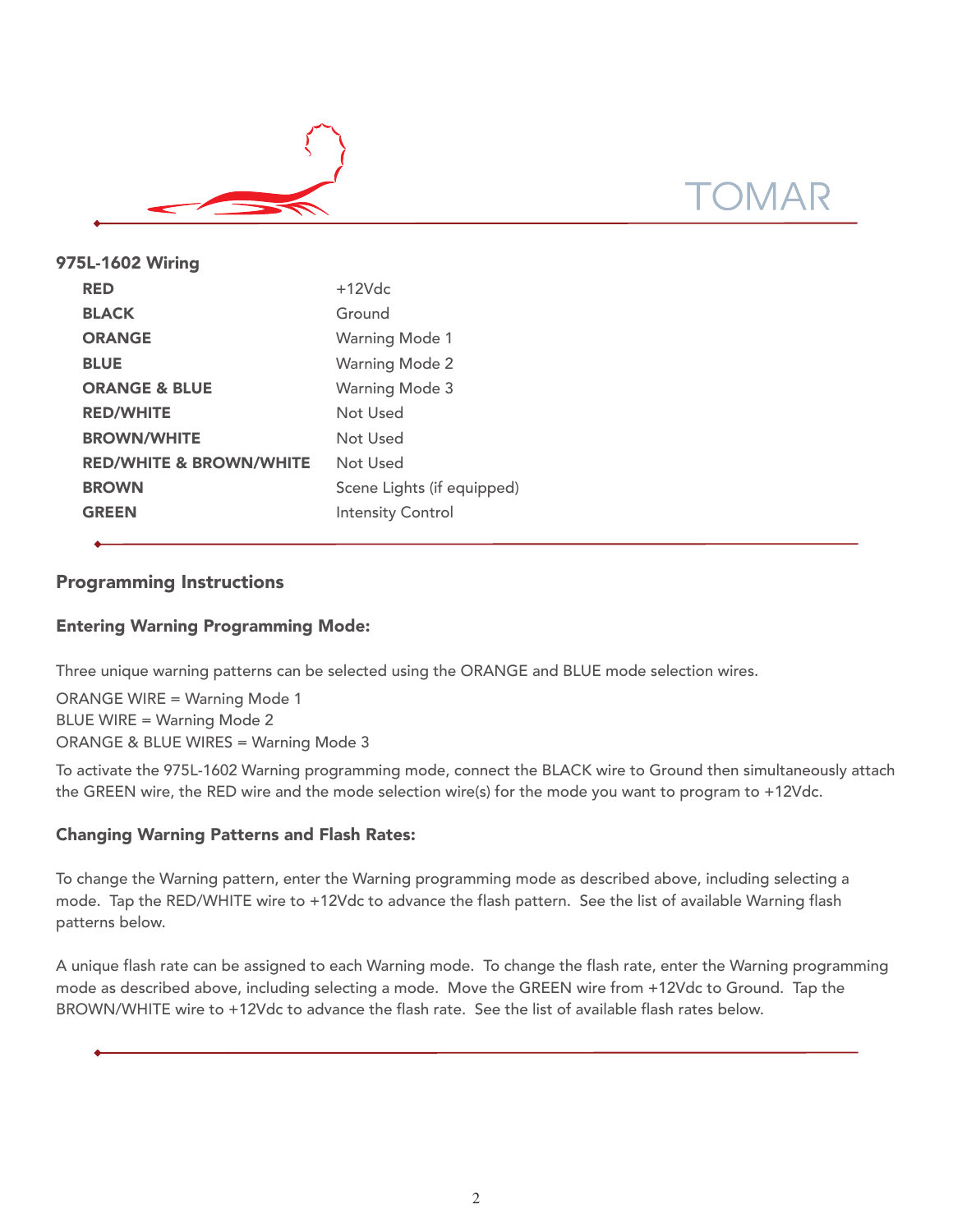

| 975L-1602 Wiring                   |                            |
|------------------------------------|----------------------------|
| <b>RED</b>                         | $+12$ Vdc                  |
| <b>BLACK</b>                       | Ground                     |
| <b>ORANGE</b>                      | <b>Warning Mode 1</b>      |
| <b>BLUE</b>                        | <b>Warning Mode 2</b>      |
| <b>ORANGE &amp; BLUE</b>           | <b>Warning Mode 3</b>      |
| <b>RED/WHITE</b>                   | Not Used                   |
| <b>BROWN/WHITE</b>                 | Not Used                   |
| <b>RED/WHITE &amp; BROWN/WHITE</b> | Not Used                   |
| <b>BROWN</b>                       | Scene Lights (if equipped) |
| <b>GREEN</b>                       | <b>Intensity Control</b>   |
|                                    |                            |

# Programming Instructions

## Entering Warning Programming Mode:

Three unique warning patterns can be selected using the ORANGE and BLUE mode selection wires.

ORANGE WIRE = Warning Mode 1 BLUE WIRE = Warning Mode 2 ORANGE & BLUE WIRES = Warning Mode 3

To activate the 975L-1602 Warning programming mode, connect the BLACK wire to Ground then simultaneously attach the GREEN wire, the RED wire and the mode selection wire(s) for the mode you want to program to +12Vdc.

### Changing Warning Patterns and Flash Rates:

To change the Warning pattern, enter the Warning programming mode as described above, including selecting a mode. Tap the RED/WHITE wire to +12Vdc to advance the flash pattern. See the list of available Warning flash patterns below.

A unique flash rate can be assigned to each Warning mode. To change the flash rate, enter the Warning programming mode as described above, including selecting a mode. Move the GREEN wire from +12Vdc to Ground. Tap the BROWN/WHITE wire to +12Vdc to advance the flash rate. See the list of available flash rates below.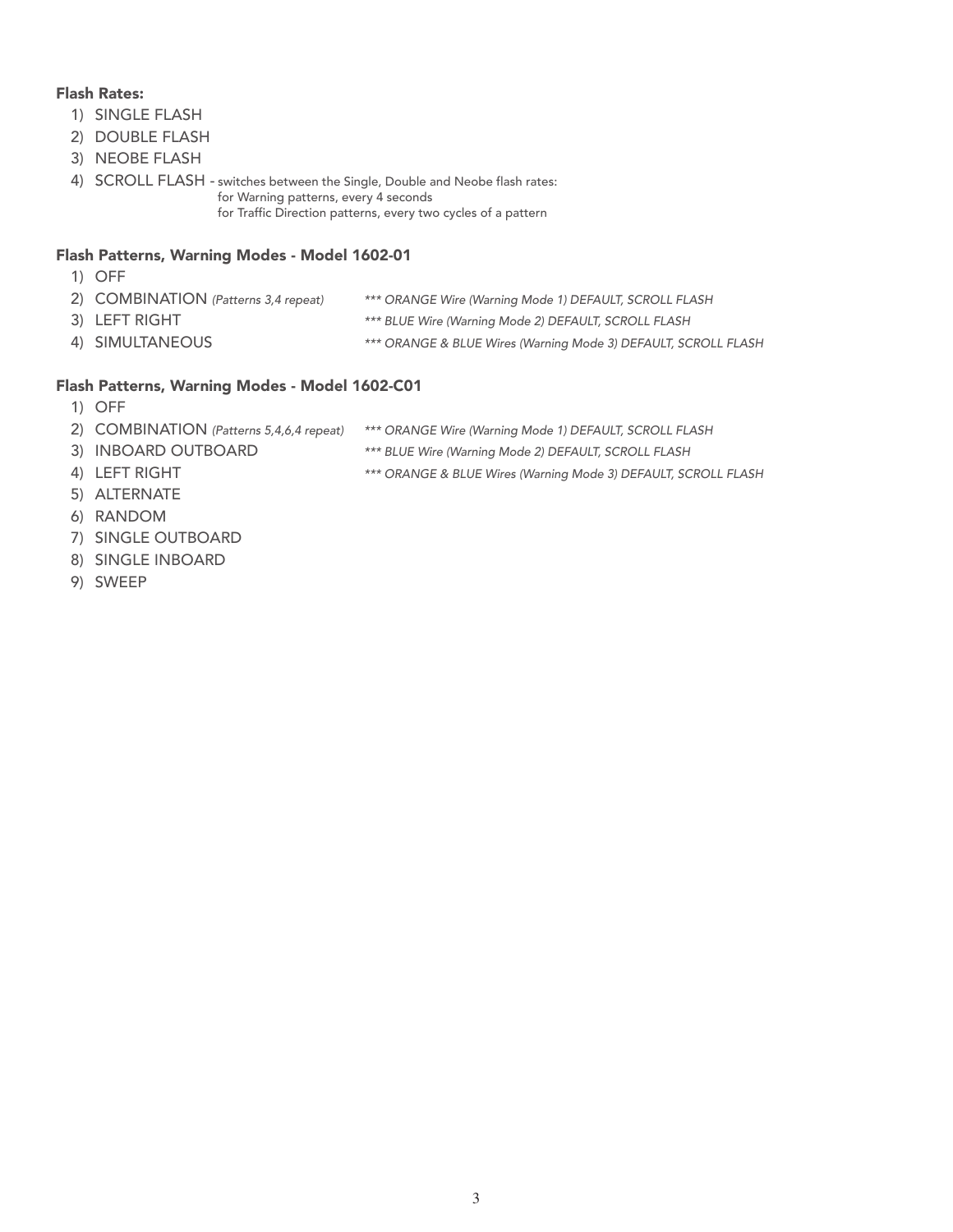#### Flash Rates:

- 1) SINGLE FLASH
- 2) DOUBLE FLASH
- 3) NEOBE FLASH
- 4) SCROLL FLASH switches between the Single, Double and Neobe flash rates: for Warning patterns, every 4 seconds for Traffic Direction patterns, every two cycles of a pattern

#### Flash Patterns, Warning Modes - Model 1602-01

- 1) OFF
- 2) COMBINATION (Patterns 3,4 repeat) \*\*\* ORANGE Wire (Warning Mode 1) DEFAULT, SCROLL FLASH
- 
- 3) LEFT RIGHT **All and State Communist Communist Communist** \*\*\* BLUE Wire (Warning Mode 2) DEFAULT, SCROLL FLASH
- 4) SIMULTANEOUS \*\*\* ORANGE & BLUE Wires (Warning Mode 3) DEFAULT, SCROLL FLASH

#### Flash Patterns, Warning Modes - Model 1602-C01

- 1) OFF
- 2) COMBINATION (Patterns 5,4,6,4 repeat) \*\*\* ORANGE Wire (Warning Mode 1) DEFAULT, SCROLL FLASH
- 3) INBOARD OUTBOARD \*\*\* BLUE Wire (Warning Mode 2) DEFAULT, SCROLL FLASH
- 4) LEFT RIGHT **All Accords** \*\*\* ORANGE & BLUE Wires (Warning Mode 3) DEFAULT, SCROLL FLASH
- 5) ALTERNATE
- 6) RANDOM
- 7) SINGLE OUTBOARD
- 8) SINGLE INBOARD
- 9) SWEEP